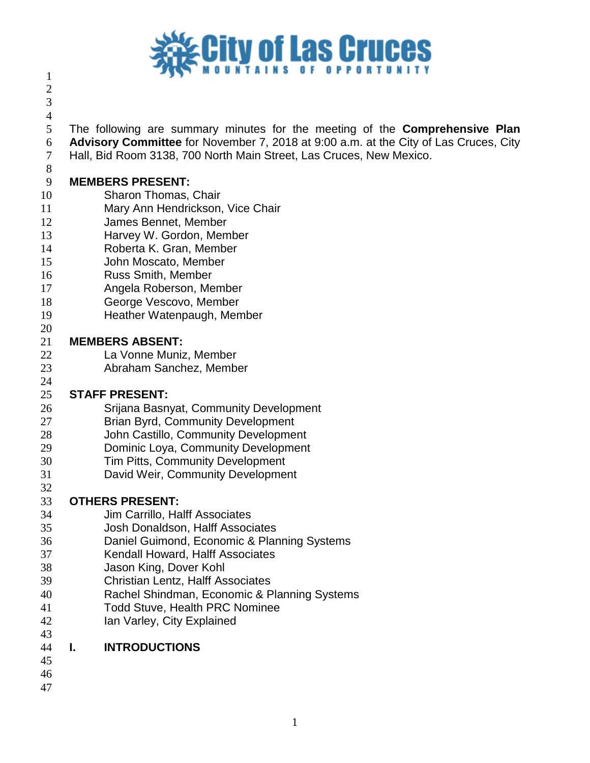# **City of Las Cruces**

 

 The following are summary minutes for the meeting of the **Comprehensive Plan Advisory Committee** for November 7, 2018 at 9:00 a.m. at the City of Las Cruces, City

Hall, Bid Room 3138, 700 North Main Street, Las Cruces, New Mexico.

#### **MEMBERS PRESENT:**

- Sharon Thomas, Chair
- Mary Ann Hendrickson, Vice Chair
- James Bennet, Member
- Harvey W. Gordon, Member
- Roberta K. Gran, Member
- John Moscato, Member
- Russ Smith, Member
- Angela Roberson, Member
- George Vescovo, Member
- Heather Watenpaugh, Member

# **MEMBERS ABSENT:**

- La Vonne Muniz, Member
- Abraham Sanchez, Member

#### **STAFF PRESENT:**

- Srijana Basnyat, Community Development
- Brian Byrd, Community Development
- John Castillo, Community Development
- Dominic Loya, Community Development
- Tim Pitts, Community Development
- David Weir, Community Development

# **OTHERS PRESENT:**

- Jim Carrillo, Halff Associates
- Josh Donaldson, Halff Associates
- Daniel Guimond, Economic & Planning Systems
- Kendall Howard, Halff Associates
- Jason King, Dover Kohl
- Christian Lentz, Halff Associates
- Rachel Shindman, Economic & Planning Systems
- Todd Stuve, Health PRC Nominee
- Ian Varley, City Explained

| 44 | <b>INTRODUCTIONS</b> |
|----|----------------------|
|    |                      |

- 
- 
-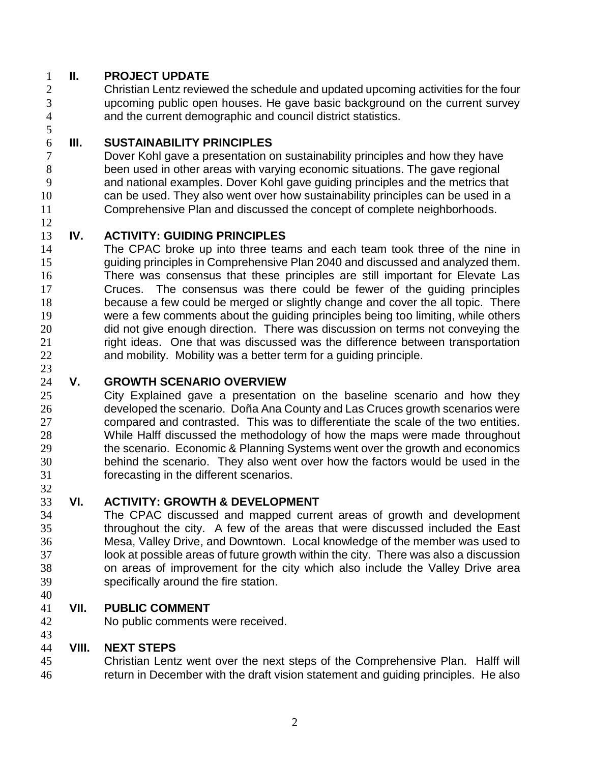## **II. PROJECT UPDATE**

 Christian Lentz reviewed the schedule and updated upcoming activities for the four upcoming public open houses. He gave basic background on the current survey and the current demographic and council district statistics.

#### **III. SUSTAINABILITY PRINCIPLES**

 Dover Kohl gave a presentation on sustainability principles and how they have been used in other areas with varying economic situations. The gave regional and national examples. Dover Kohl gave guiding principles and the metrics that can be used. They also went over how sustainability principles can be used in a Comprehensive Plan and discussed the concept of complete neighborhoods.

# **IV. ACTIVITY: GUIDING PRINCIPLES**

 The CPAC broke up into three teams and each team took three of the nine in guiding principles in Comprehensive Plan 2040 and discussed and analyzed them. There was consensus that these principles are still important for Elevate Las Cruces. The consensus was there could be fewer of the guiding principles because a few could be merged or slightly change and cover the all topic. There were a few comments about the guiding principles being too limiting, while others 20 did not give enough direction. There was discussion on terms not conveying the 21 right ideas. One that was discussed was the difference between transportation and mobility. Mobility was a better term for a guiding principle.

## **V. GROWTH SCENARIO OVERVIEW**

 City Explained gave a presentation on the baseline scenario and how they developed the scenario. Doña Ana County and Las Cruces growth scenarios were compared and contrasted. This was to differentiate the scale of the two entities. While Halff discussed the methodology of how the maps were made throughout the scenario. Economic & Planning Systems went over the growth and economics behind the scenario. They also went over how the factors would be used in the forecasting in the different scenarios.

## **VI. ACTIVITY: GROWTH & DEVELOPMENT**

 The CPAC discussed and mapped current areas of growth and development throughout the city. A few of the areas that were discussed included the East Mesa, Valley Drive, and Downtown. Local knowledge of the member was used to look at possible areas of future growth within the city. There was also a discussion on areas of improvement for the city which also include the Valley Drive area specifically around the fire station.

## **VII. PUBLIC COMMENT**

No public comments were received.

#### **VIII. NEXT STEPS**

 Christian Lentz went over the next steps of the Comprehensive Plan. Halff will return in December with the draft vision statement and guiding principles. He also